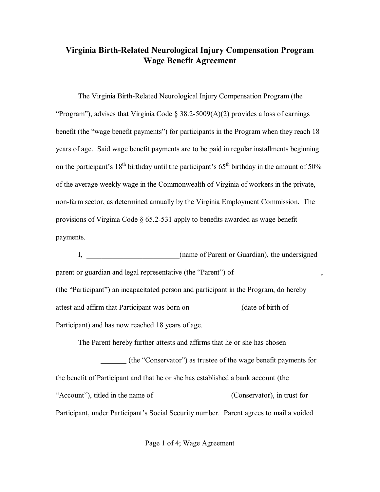## **Virginia Birth-Related Neurological Injury Compensation Program Wage Benefit Agreement**

The Virginia Birth-Related Neurological Injury Compensation Program (the "Program"), advises that Virginia Code  $\S$  38.2-5009(A)(2) provides a loss of earnings benefit (the "wage benefit payments") for participants in the Program when they reach 18 years of age. Said wage benefit payments are to be paid in regular installments beginning on the participant's  $18^{th}$  birthday until the participant's  $65^{th}$  birthday in the amount of  $50\%$ of the average weekly wage in the Commonwealth of Virginia of workers in the private, non-farm sector, as determined annually by the Virginia Employment Commission. The provisions of Virginia Code § 65.2-531 apply to benefits awarded as wage benefit payments.

I, can also the intervals of Parent or Guardian), the undersigned parent or guardian and legal representative (the "Parent") of  $\,$ (the "Participant") an incapacitated person and participant in the Program, do hereby attest and affirm that Participant was born on \_\_\_\_\_\_\_\_\_\_\_\_\_ (date of birth of Participant) and has now reached 18 years of age.

The Parent hereby further attests and affirms that he or she has chosen \_\_\_\_\_\_\_\_\_\_\_\_\_\_\_\_\_\_\_ (the "Conservator") as trustee of the wage benefit payments for the benefit of Participant and that he or she has established a bank account (the "Account"), titled in the name of \_\_\_\_\_\_\_\_\_\_\_\_\_\_\_\_\_\_\_ (Conservator), in trust for Participant, under Participant's Social Security number. Parent agrees to mail a voided

Page 1 of 4; Wage Agreement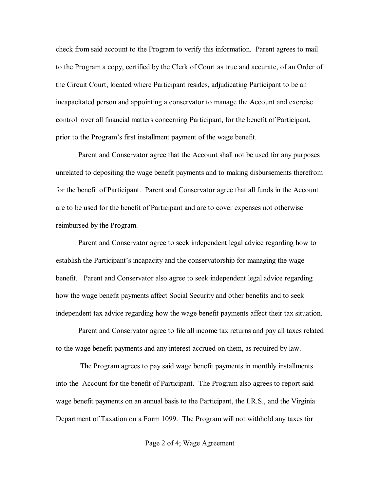check from said account to the Program to verify this information. Parent agrees to mail to the Program a copy, certified by the Clerk of Court as true and accurate, of an Order of the Circuit Court, located where Participant resides, adjudicating Participant to be an incapacitated person and appointing a conservator to manage the Account and exercise control over all financial matters concerning Participant, for the benefit of Participant, prior to the Program's first installment payment of the wage benefit.

Parent and Conservator agree that the Account shall not be used for any purposes unrelated to depositing the wage benefit payments and to making disbursements therefrom for the benefit of Participant. Parent and Conservator agree that all funds in the Account are to be used for the benefit of Participant and are to cover expenses not otherwise reimbursed by the Program.

Parent and Conservator agree to seek independent legal advice regarding how to establish the Participant's incapacity and the conservatorship for managing the wage benefit. Parent and Conservator also agree to seek independent legal advice regarding how the wage benefit payments affect Social Security and other benefits and to seek independent tax advice regarding how the wage benefit payments affect their tax situation.

Parent and Conservator agree to file all income tax returns and pay all taxes related to the wage benefit payments and any interest accrued on them, as required by law.

 The Program agrees to pay said wage benefit payments in monthly installments into the Account for the benefit of Participant. The Program also agrees to report said wage benefit payments on an annual basis to the Participant, the I.R.S., and the Virginia Department of Taxation on a Form 1099. The Program will not withhold any taxes for

Page 2 of 4; Wage Agreement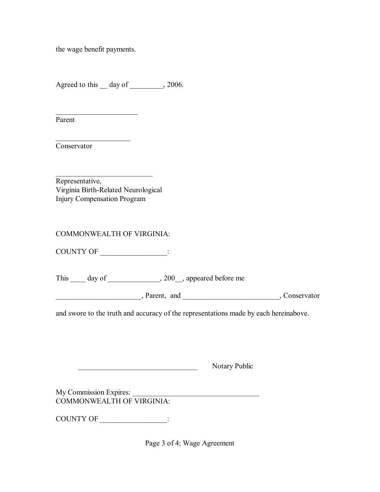the wage benefit payments.

 $\mathcal{L}_\text{max}$  , where  $\mathcal{L}_\text{max}$  , we have the set of  $\mathcal{L}_\text{max}$ 

 $\mathcal{L}_\text{max}$ 

Agreed to this \_\_ day of \_\_\_\_\_\_\_\_, 2006.

Parent

Conservator

 $\mathcal{L}_\text{max}$ Representative, Virginia Birth-Related Neurological Injury Compensation Program

COMMONWEALTH OF VIRGINIA:

COUNTY OF \_\_\_\_\_\_\_\_\_\_\_\_\_\_\_\_\_\_:

This \_\_\_\_ day of \_\_\_\_\_\_\_\_\_\_\_\_, 200\_\_, appeared before me

\_\_\_\_\_\_\_\_\_\_\_\_\_\_\_\_\_\_\_\_\_\_\_, Parent, and \_\_\_\_\_\_\_\_\_\_\_\_\_\_\_\_\_\_\_\_\_\_\_\_\_\_, Conservator

and swore to the truth and accuracy of the representations made by each hereinabove.

\_\_\_\_\_\_\_\_\_\_\_\_\_\_\_\_\_\_\_\_\_\_\_\_\_\_\_\_\_\_\_\_ Notary Public

My Commission Expires: COMMONWEALTH OF VIRGINIA:

COUNTY OF \_\_\_\_\_\_\_\_\_\_\_\_\_\_\_\_\_\_:

Page 3 of 4; Wage Agreement